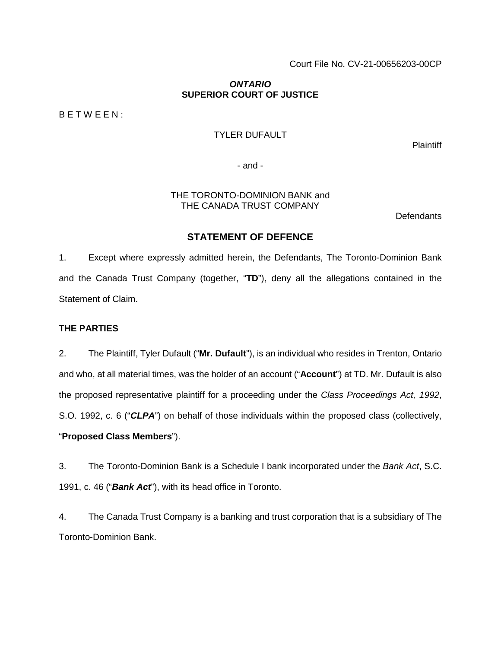Court File No. CV-21-00656203-00CP

## *ONTARIO*  **SUPERIOR COURT OF JUSTICE**

B E T W E E N :

# TYLER DUFAULT

**Plaintiff** 

- and -

#### THE TORONTO-DOMINION BANK and THE CANADA TRUST COMPANY

**Defendants** 

## **STATEMENT OF DEFENCE**

1. Except where expressly admitted herein, the Defendants, The Toronto-Dominion Bank and the Canada Trust Company (together, "**TD**"), deny all the allegations contained in the Statement of Claim.

## **THE PARTIES**

2. The Plaintiff, Tyler Dufault ("**Mr. Dufault**"), is an individual who resides in Trenton, Ontario and who, at all material times, was the holder of an account ("**Account**") at TD. Mr. Dufault is also the proposed representative plaintiff for a proceeding under the *Class Proceedings Act, 1992*, S.O. 1992, c. 6 ("*CLPA*") on behalf of those individuals within the proposed class (collectively, "**Proposed Class Members**").

3. The Toronto-Dominion Bank is a Schedule I bank incorporated under the *Bank Act*, S.C. 1991, c. 46 ("*Bank Act*"), with its head office in Toronto.

4. The Canada Trust Company is a banking and trust corporation that is a subsidiary of The Toronto-Dominion Bank.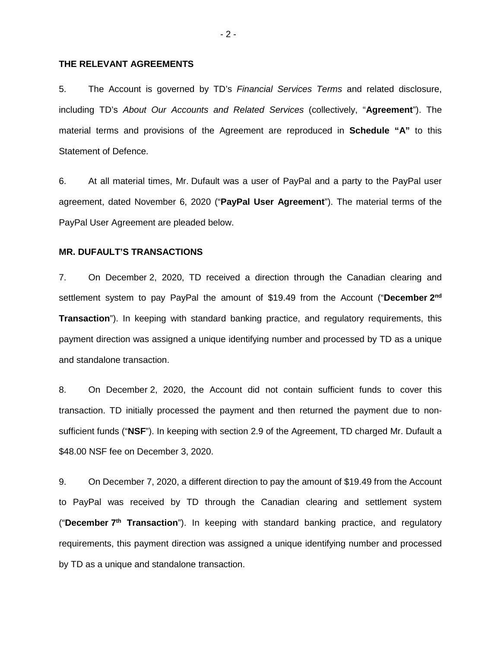## **THE RELEVANT AGREEMENTS**

5. The Account is governed by TD's *Financial Services Terms* and related disclosure, including TD's *About Our Accounts and Related Services* (collectively, "**Agreement**"). The material terms and provisions of the Agreement are reproduced in **Schedule "A"** to this Statement of Defence.

6. At all material times, Mr. Dufault was a user of PayPal and a party to the PayPal user agreement, dated November 6, 2020 ("**PayPal User Agreement**"). The material terms of the PayPal User Agreement are pleaded below.

### **MR. DUFAULT'S TRANSACTIONS**

7. On December 2, 2020, TD received a direction through the Canadian clearing and settlement system to pay PayPal the amount of \$19.49 from the Account ("**December 2nd Transaction**"). In keeping with standard banking practice, and regulatory requirements, this payment direction was assigned a unique identifying number and processed by TD as a unique and standalone transaction.

8. On December 2, 2020, the Account did not contain sufficient funds to cover this transaction. TD initially processed the payment and then returned the payment due to nonsufficient funds ("**NSF**"). In keeping with section 2.9 of the Agreement, TD charged Mr. Dufault a \$48.00 NSF fee on December 3, 2020.

9. On December 7, 2020, a different direction to pay the amount of \$19.49 from the Account to PayPal was received by TD through the Canadian clearing and settlement system ("**December 7th Transaction**"). In keeping with standard banking practice, and regulatory requirements, this payment direction was assigned a unique identifying number and processed by TD as a unique and standalone transaction.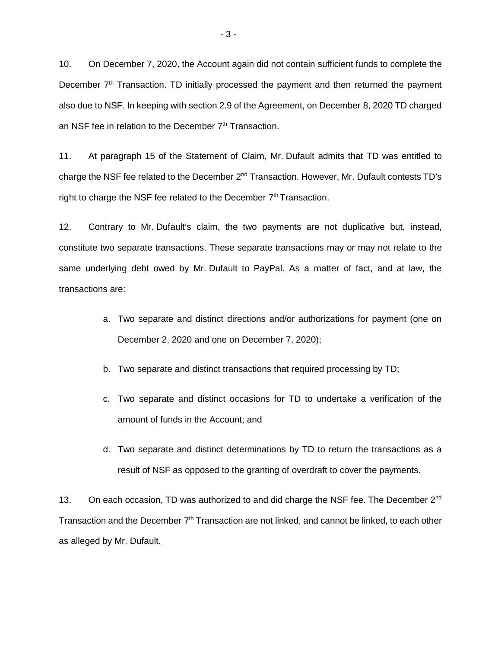10. On December 7, 2020, the Account again did not contain sufficient funds to complete the December 7<sup>th</sup> Transaction. TD initially processed the payment and then returned the payment also due to NSF. In keeping with section 2.9 of the Agreement, on December 8, 2020 TD charged an NSF fee in relation to the December 7<sup>th</sup> Transaction.

11. At paragraph 15 of the Statement of Claim, Mr. Dufault admits that TD was entitled to charge the NSF fee related to the December 2nd Transaction. However, Mr. Dufault contests TD's right to charge the NSF fee related to the December  $7<sup>th</sup>$  Transaction.

12. Contrary to Mr. Dufault's claim, the two payments are not duplicative but, instead, constitute two separate transactions. These separate transactions may or may not relate to the same underlying debt owed by Mr. Dufault to PayPal. As a matter of fact, and at law, the transactions are:

- a. Two separate and distinct directions and/or authorizations for payment (one on December 2, 2020 and one on December 7, 2020);
- b. Two separate and distinct transactions that required processing by TD;
- c. Two separate and distinct occasions for TD to undertake a verification of the amount of funds in the Account; and
- d. Two separate and distinct determinations by TD to return the transactions as a result of NSF as opposed to the granting of overdraft to cover the payments.

13. On each occasion, TD was authorized to and did charge the NSF fee. The December 2<sup>nd</sup> Transaction and the December 7<sup>th</sup> Transaction are not linked, and cannot be linked, to each other as alleged by Mr. Dufault.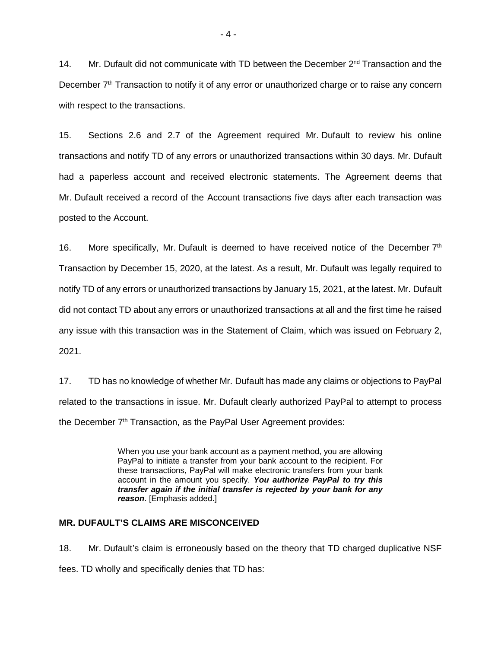14. Mr. Dufault did not communicate with TD between the December 2<sup>nd</sup> Transaction and the December 7<sup>th</sup> Transaction to notify it of any error or unauthorized charge or to raise any concern with respect to the transactions.

15. Sections 2.6 and 2.7 of the Agreement required Mr. Dufault to review his online transactions and notify TD of any errors or unauthorized transactions within 30 days. Mr. Dufault had a paperless account and received electronic statements. The Agreement deems that Mr. Dufault received a record of the Account transactions five days after each transaction was posted to the Account.

16. More specifically, Mr. Dufault is deemed to have received notice of the December  $7<sup>th</sup>$ Transaction by December 15, 2020, at the latest. As a result, Mr. Dufault was legally required to notify TD of any errors or unauthorized transactions by January 15, 2021, at the latest. Mr. Dufault did not contact TD about any errors or unauthorized transactions at all and the first time he raised any issue with this transaction was in the Statement of Claim, which was issued on February 2, 2021.

17. TD has no knowledge of whether Mr. Dufault has made any claims or objections to PayPal related to the transactions in issue. Mr. Dufault clearly authorized PayPal to attempt to process the December 7<sup>th</sup> Transaction, as the PayPal User Agreement provides:

> When you use your bank account as a payment method, you are allowing PayPal to initiate a transfer from your bank account to the recipient. For these transactions, PayPal will make electronic transfers from your bank account in the amount you specify. *You authorize PayPal to try this transfer again if the initial transfer is rejected by your bank for any reason*. [Emphasis added.]

## **MR. DUFAULT'S CLAIMS ARE MISCONCEIVED**

18. Mr. Dufault's claim is erroneously based on the theory that TD charged duplicative NSF fees. TD wholly and specifically denies that TD has: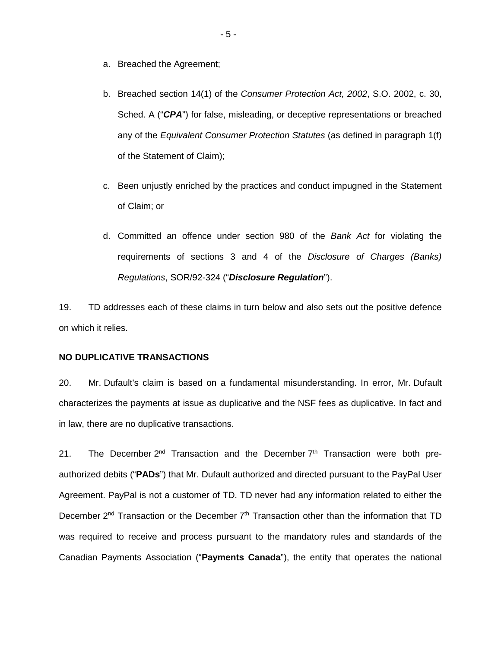- a. Breached the Agreement;
- b. Breached section 14(1) of the *Consumer Protection Act, 2002*, S.O. 2002, c. 30, Sched. A ("*CPA*") for false, misleading, or deceptive representations or breached any of the *Equivalent Consumer Protection Statutes* (as defined in paragraph 1(f) of the Statement of Claim);
- c. Been unjustly enriched by the practices and conduct impugned in the Statement of Claim; or
- d. Committed an offence under section 980 of the *Bank Act* for violating the requirements of sections 3 and 4 of the *Disclosure of Charges (Banks) Regulations*, SOR/92-324 ("*Disclosure Regulation*").

19. TD addresses each of these claims in turn below and also sets out the positive defence on which it relies.

#### **NO DUPLICATIVE TRANSACTIONS**

20. Mr. Dufault's claim is based on a fundamental misunderstanding. In error, Mr. Dufault characterizes the payments at issue as duplicative and the NSF fees as duplicative. In fact and in law, there are no duplicative transactions.

21. The December  $2^{nd}$  Transaction and the December  $7<sup>th</sup>$  Transaction were both preauthorized debits ("**PADs**") that Mr. Dufault authorized and directed pursuant to the PayPal User Agreement. PayPal is not a customer of TD. TD never had any information related to either the December  $2^{nd}$  Transaction or the December  $7<sup>th</sup>$  Transaction other than the information that TD was required to receive and process pursuant to the mandatory rules and standards of the Canadian Payments Association ("**Payments Canada**"), the entity that operates the national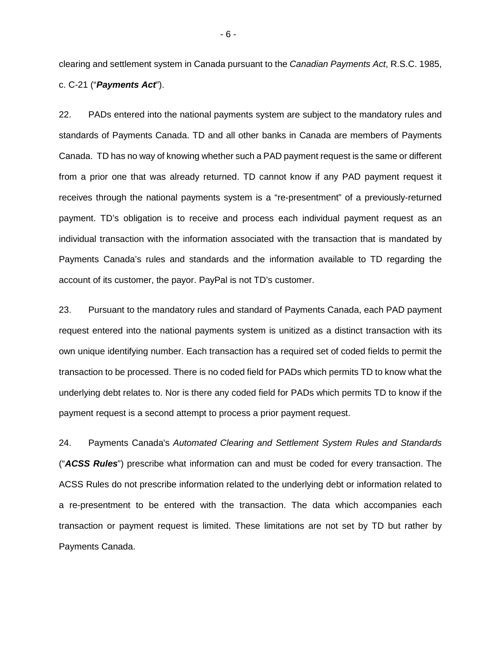clearing and settlement system in Canada pursuant to the *Canadian Payments Act*, R.S.C. 1985, c. C-21 ("*Payments Act*").

22. PADs entered into the national payments system are subject to the mandatory rules and standards of Payments Canada. TD and all other banks in Canada are members of Payments Canada. TD has no way of knowing whether such a PAD payment request is the same or different from a prior one that was already returned. TD cannot know if any PAD payment request it receives through the national payments system is a "re-presentment" of a previously-returned payment. TD's obligation is to receive and process each individual payment request as an individual transaction with the information associated with the transaction that is mandated by Payments Canada's rules and standards and the information available to TD regarding the account of its customer, the payor. PayPal is not TD's customer.

23. Pursuant to the mandatory rules and standard of Payments Canada, each PAD payment request entered into the national payments system is unitized as a distinct transaction with its own unique identifying number. Each transaction has a required set of coded fields to permit the transaction to be processed. There is no coded field for PADs which permits TD to know what the underlying debt relates to. Nor is there any coded field for PADs which permits TD to know if the payment request is a second attempt to process a prior payment request.

24. Payments Canada's *Automated Clearing and Settlement System Rules and Standards*  ("*ACSS Rules*") prescribe what information can and must be coded for every transaction. The ACSS Rules do not prescribe information related to the underlying debt or information related to a re-presentment to be entered with the transaction. The data which accompanies each transaction or payment request is limited. These limitations are not set by TD but rather by Payments Canada.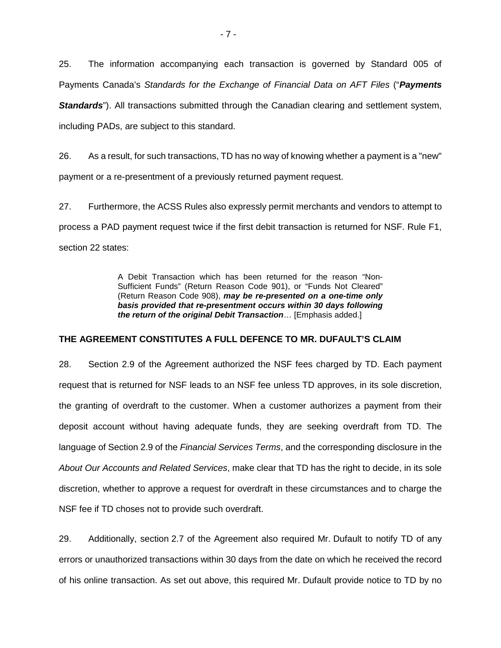25. The information accompanying each transaction is governed by Standard 005 of Payments Canada's *Standards for the Exchange of Financial Data on AFT Files* ("*Payments Standards*"). All transactions submitted through the Canadian clearing and settlement system, including PADs, are subject to this standard.

26. As a result, for such transactions, TD has no way of knowing whether a payment is a "new" payment or a re-presentment of a previously returned payment request.

27. Furthermore, the ACSS Rules also expressly permit merchants and vendors to attempt to process a PAD payment request twice if the first debit transaction is returned for NSF. Rule F1, section 22 states:

> A Debit Transaction which has been returned for the reason "Non-Sufficient Funds" (Return Reason Code 901), or "Funds Not Cleared" (Return Reason Code 908), *may be re-presented on a one-time only basis provided that re-presentment occurs within 30 days following the return of the original Debit Transaction*… [Emphasis added.]

# **THE AGREEMENT CONSTITUTES A FULL DEFENCE TO MR. DUFAULT'S CLAIM**

28. Section 2.9 of the Agreement authorized the NSF fees charged by TD. Each payment request that is returned for NSF leads to an NSF fee unless TD approves, in its sole discretion, the granting of overdraft to the customer. When a customer authorizes a payment from their deposit account without having adequate funds, they are seeking overdraft from TD. The language of Section 2.9 of the *Financial Services Terms*, and the corresponding disclosure in the *About Our Accounts and Related Services*, make clear that TD has the right to decide, in its sole discretion, whether to approve a request for overdraft in these circumstances and to charge the NSF fee if TD choses not to provide such overdraft.

29. Additionally, section 2.7 of the Agreement also required Mr. Dufault to notify TD of any errors or unauthorized transactions within 30 days from the date on which he received the record of his online transaction. As set out above, this required Mr. Dufault provide notice to TD by no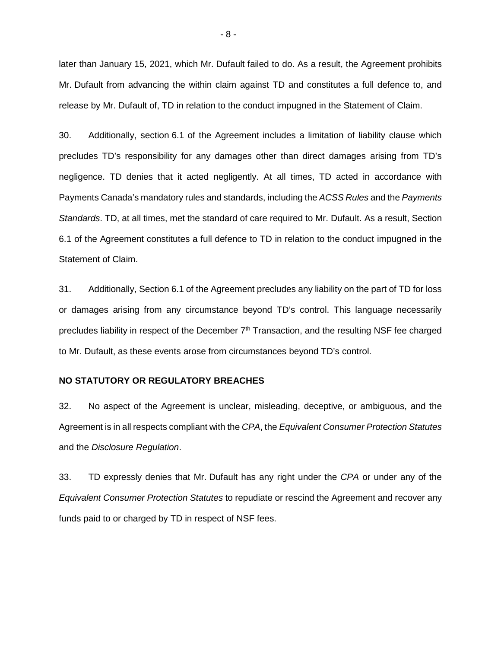later than January 15, 2021, which Mr. Dufault failed to do. As a result, the Agreement prohibits Mr. Dufault from advancing the within claim against TD and constitutes a full defence to, and release by Mr. Dufault of, TD in relation to the conduct impugned in the Statement of Claim.

30. Additionally, section 6.1 of the Agreement includes a limitation of liability clause which precludes TD's responsibility for any damages other than direct damages arising from TD's negligence. TD denies that it acted negligently. At all times, TD acted in accordance with Payments Canada's mandatory rules and standards, including the *ACSS Rules* and the *Payments Standards*. TD, at all times, met the standard of care required to Mr. Dufault. As a result, Section 6.1 of the Agreement constitutes a full defence to TD in relation to the conduct impugned in the Statement of Claim.

31. Additionally, Section 6.1 of the Agreement precludes any liability on the part of TD for loss or damages arising from any circumstance beyond TD's control. This language necessarily precludes liability in respect of the December  $7<sup>th</sup>$  Transaction, and the resulting NSF fee charged to Mr. Dufault, as these events arose from circumstances beyond TD's control.

#### **NO STATUTORY OR REGULATORY BREACHES**

32. No aspect of the Agreement is unclear, misleading, deceptive, or ambiguous, and the Agreement is in all respects compliant with the *CPA*, the *Equivalent Consumer Protection Statutes* and the *Disclosure Regulation*.

33. TD expressly denies that Mr. Dufault has any right under the *CPA* or under any of the *Equivalent Consumer Protection Statutes* to repudiate or rescind the Agreement and recover any funds paid to or charged by TD in respect of NSF fees.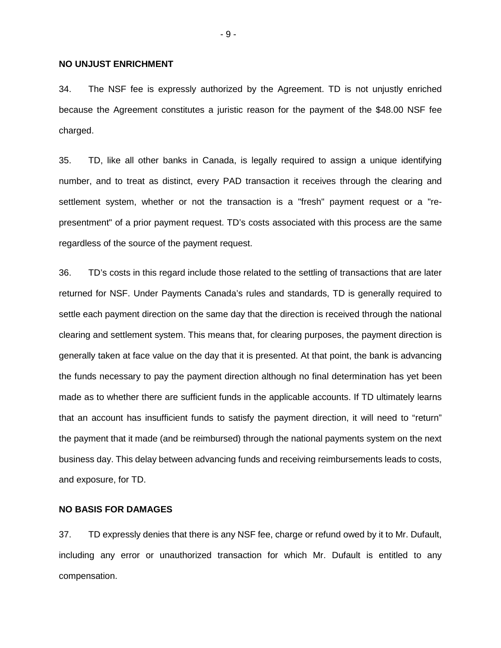#### **NO UNJUST ENRICHMENT**

34. The NSF fee is expressly authorized by the Agreement. TD is not unjustly enriched because the Agreement constitutes a juristic reason for the payment of the \$48.00 NSF fee charged.

35. TD, like all other banks in Canada, is legally required to assign a unique identifying number, and to treat as distinct, every PAD transaction it receives through the clearing and settlement system, whether or not the transaction is a "fresh" payment request or a "representment" of a prior payment request. TD's costs associated with this process are the same regardless of the source of the payment request.

36. TD's costs in this regard include those related to the settling of transactions that are later returned for NSF. Under Payments Canada's rules and standards, TD is generally required to settle each payment direction on the same day that the direction is received through the national clearing and settlement system. This means that, for clearing purposes, the payment direction is generally taken at face value on the day that it is presented. At that point, the bank is advancing the funds necessary to pay the payment direction although no final determination has yet been made as to whether there are sufficient funds in the applicable accounts. If TD ultimately learns that an account has insufficient funds to satisfy the payment direction, it will need to "return" the payment that it made (and be reimbursed) through the national payments system on the next business day. This delay between advancing funds and receiving reimbursements leads to costs, and exposure, for TD.

#### **NO BASIS FOR DAMAGES**

37. TD expressly denies that there is any NSF fee, charge or refund owed by it to Mr. Dufault, including any error or unauthorized transaction for which Mr. Dufault is entitled to any compensation.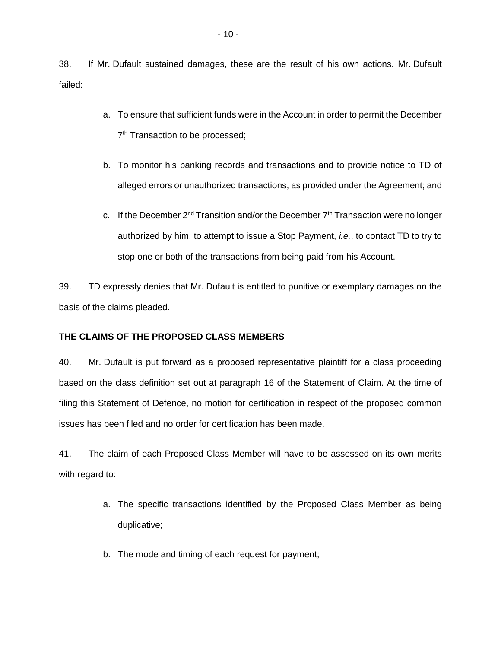38. If Mr. Dufault sustained damages, these are the result of his own actions. Mr. Dufault failed:

- a. To ensure that sufficient funds were in the Account in order to permit the December 7<sup>th</sup> Transaction to be processed;
- b. To monitor his banking records and transactions and to provide notice to TD of alleged errors or unauthorized transactions, as provided under the Agreement; and
- c. If the December  $2^{nd}$  Transition and/or the December  $7<sup>th</sup>$  Transaction were no longer authorized by him, to attempt to issue a Stop Payment, *i.e.*, to contact TD to try to stop one or both of the transactions from being paid from his Account.

39. TD expressly denies that Mr. Dufault is entitled to punitive or exemplary damages on the basis of the claims pleaded.

# **THE CLAIMS OF THE PROPOSED CLASS MEMBERS**

40. Mr. Dufault is put forward as a proposed representative plaintiff for a class proceeding based on the class definition set out at paragraph 16 of the Statement of Claim. At the time of filing this Statement of Defence, no motion for certification in respect of the proposed common issues has been filed and no order for certification has been made.

41. The claim of each Proposed Class Member will have to be assessed on its own merits with regard to:

- a. The specific transactions identified by the Proposed Class Member as being duplicative;
- b. The mode and timing of each request for payment;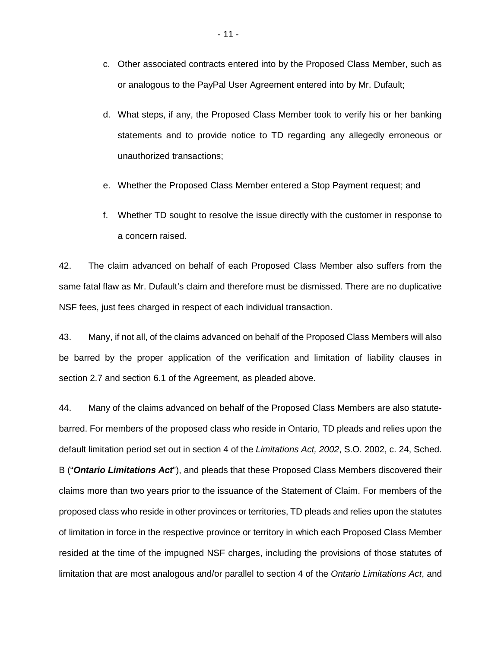- c. Other associated contracts entered into by the Proposed Class Member, such as or analogous to the PayPal User Agreement entered into by Mr. Dufault;
- d. What steps, if any, the Proposed Class Member took to verify his or her banking statements and to provide notice to TD regarding any allegedly erroneous or unauthorized transactions;
- e. Whether the Proposed Class Member entered a Stop Payment request; and
- f. Whether TD sought to resolve the issue directly with the customer in response to a concern raised.

42. The claim advanced on behalf of each Proposed Class Member also suffers from the same fatal flaw as Mr. Dufault's claim and therefore must be dismissed. There are no duplicative NSF fees, just fees charged in respect of each individual transaction.

43. Many, if not all, of the claims advanced on behalf of the Proposed Class Members will also be barred by the proper application of the verification and limitation of liability clauses in section 2.7 and section 6.1 of the Agreement, as pleaded above.

44. Many of the claims advanced on behalf of the Proposed Class Members are also statutebarred. For members of the proposed class who reside in Ontario, TD pleads and relies upon the default limitation period set out in section 4 of the *Limitations Act, 2002*, S.O. 2002, c. 24, Sched. B ("*Ontario Limitations Act*"), and pleads that these Proposed Class Members discovered their claims more than two years prior to the issuance of the Statement of Claim. For members of the proposed class who reside in other provinces or territories, TD pleads and relies upon the statutes of limitation in force in the respective province or territory in which each Proposed Class Member resided at the time of the impugned NSF charges, including the provisions of those statutes of limitation that are most analogous and/or parallel to section 4 of the *Ontario Limitations Act*, and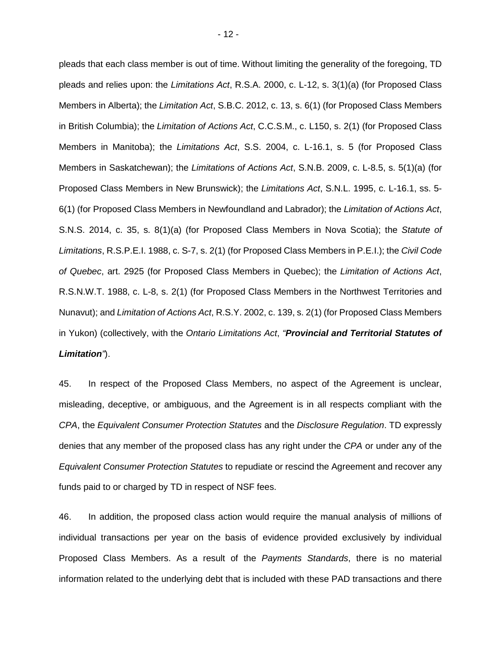pleads that each class member is out of time. Without limiting the generality of the foregoing, TD pleads and relies upon: the *Limitations Act*, R.S.A. 2000, c. L-12, s. 3(1)(a) (for Proposed Class Members in Alberta); the *Limitation Act*, S.B.C. 2012, c. 13, s. 6(1) (for Proposed Class Members in British Columbia); the *Limitation of Actions Act*, C.C.S.M., c. L150, s. 2(1) (for Proposed Class Members in Manitoba); the *Limitations Act*, S.S. 2004, c. L-16.1, s. 5 (for Proposed Class Members in Saskatchewan); the *Limitations of Actions Act*, S.N.B. 2009, c. L-8.5, s. 5(1)(a) (for Proposed Class Members in New Brunswick); the *Limitations Act*, S.N.L. 1995, c. L-16.1, ss. 5- 6(1) (for Proposed Class Members in Newfoundland and Labrador); the *Limitation of Actions Act*, S.N.S. 2014, c. 35, s. 8(1)(a) (for Proposed Class Members in Nova Scotia); the *Statute of Limitations*, R.S.P.E.I. 1988, c. S-7, s. 2(1) (for Proposed Class Members in P.E.I.); the *Civil Code of Quebec*, art. 2925 (for Proposed Class Members in Quebec); the *Limitation of Actions Act*, R.S.N.W.T. 1988, c. L-8, s. 2(1) (for Proposed Class Members in the Northwest Territories and Nunavut); and *Limitation of Actions Act*, R.S.Y. 2002, c. 139, s. 2(1) (for Proposed Class Members in Yukon) (collectively, with the *Ontario Limitations Act*, *"Provincial and Territorial Statutes of Limitation"*).

45. In respect of the Proposed Class Members, no aspect of the Agreement is unclear, misleading, deceptive, or ambiguous, and the Agreement is in all respects compliant with the *CPA*, the *Equivalent Consumer Protection Statutes* and the *Disclosure Regulation*. TD expressly denies that any member of the proposed class has any right under the *CPA* or under any of the *Equivalent Consumer Protection Statutes* to repudiate or rescind the Agreement and recover any funds paid to or charged by TD in respect of NSF fees.

46. In addition, the proposed class action would require the manual analysis of millions of individual transactions per year on the basis of evidence provided exclusively by individual Proposed Class Members. As a result of the *Payments Standards*, there is no material information related to the underlying debt that is included with these PAD transactions and there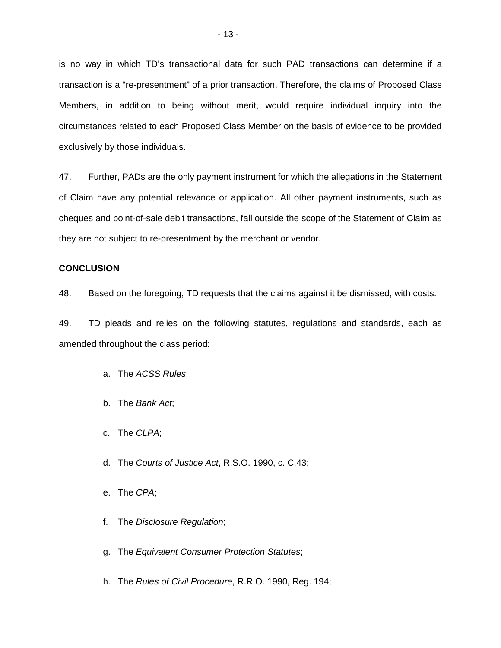is no way in which TD's transactional data for such PAD transactions can determine if a transaction is a "re-presentment" of a prior transaction. Therefore, the claims of Proposed Class Members, in addition to being without merit, would require individual inquiry into the circumstances related to each Proposed Class Member on the basis of evidence to be provided exclusively by those individuals.

47. Further, PADs are the only payment instrument for which the allegations in the Statement of Claim have any potential relevance or application. All other payment instruments, such as cheques and point-of-sale debit transactions, fall outside the scope of the Statement of Claim as they are not subject to re-presentment by the merchant or vendor.

### **CONCLUSION**

48. Based on the foregoing, TD requests that the claims against it be dismissed, with costs.

49. TD pleads and relies on the following statutes, regulations and standards, each as amended throughout the class period**:**

- a. The *ACSS Rules*;
- b. The *Bank Act*;
- c. The *CLPA*;
- d. The *Courts of Justice Act*, R.S.O. 1990, c. C.43;
- e. The *CPA*;
- f. The *Disclosure Regulation*;
- g. The *Equivalent Consumer Protection Statutes*;
- h. The *Rules of Civil Procedure*, R.R.O. 1990, Reg. 194;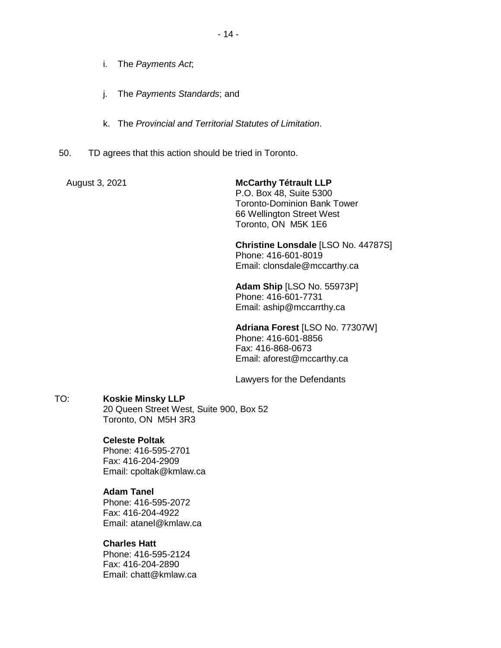- i. The *Payments Act*;
- j. The *Payments Standards*; and
- k. The *Provincial and Territorial Statutes of Limitation*.
- 50. TD agrees that this action should be tried in Toronto.

August 3, 2021 **McCarthy Tétrault LLP**  P.O. Box 48, Suite 5300 Toronto-Dominion Bank Tower 66 Wellington Street West Toronto, ON M5K 1E6

> **Christine Lonsdale** [LSO No. 44787S] Phone: 416-601-8019 Email: clonsdale@mccarthy.ca

**Adam Ship** [LSO No. 55973P] Phone: 416-601-7731 Email: aship@mccarrthy.ca

**Adriana Forest** [LSO No. 77307W] Phone: 416-601-8856 Fax: 416-868-0673 Email: aforest@mccarthy.ca

Lawyers for the Defendants

# TO: **Koskie Minsky LLP**

20 Queen Street West, Suite 900, Box 52 Toronto, ON M5H 3R3

# **Celeste Poltak**

Phone: 416-595-2701 Fax: 416-204-2909 Email: cpoltak@kmlaw.ca

# **Adam Tanel**

Phone: 416-595-2072 Fax: 416-204-4922 Email: atanel@kmlaw.ca

# **Charles Hatt**

Phone: 416-595-2124 Fax: 416-204-2890 Email: chatt@kmlaw.ca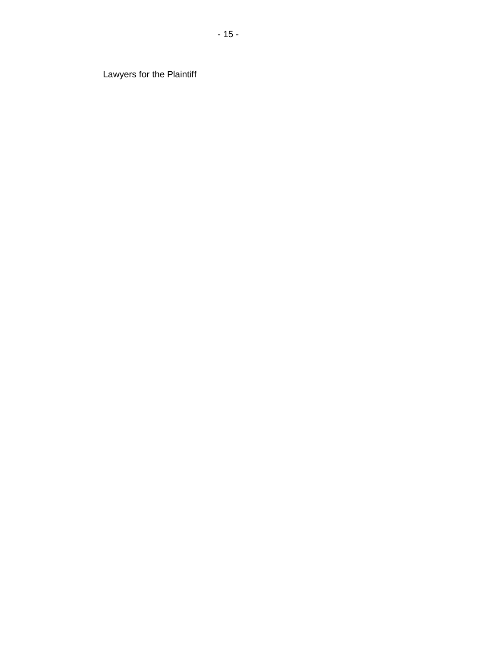Lawyers for the Plaintiff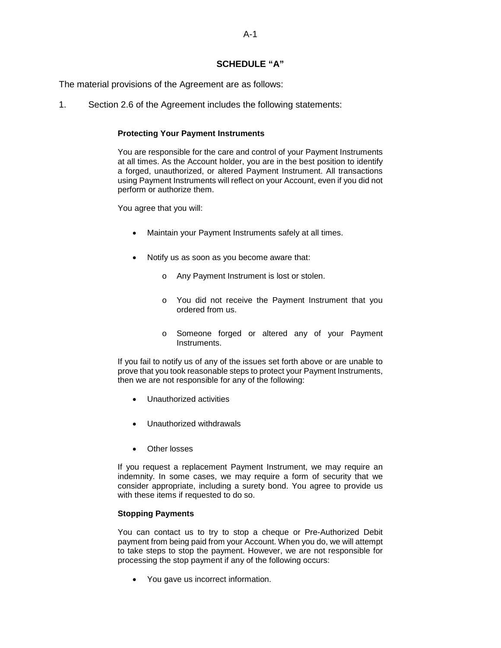## **SCHEDULE "A"**

The material provisions of the Agreement are as follows:

1. Section 2.6 of the Agreement includes the following statements:

#### **Protecting Your Payment Instruments**

You are responsible for the care and control of your Payment Instruments at all times. As the Account holder, you are in the best position to identify a forged, unauthorized, or altered Payment Instrument. All transactions using Payment Instruments will reflect on your Account, even if you did not perform or authorize them.

You agree that you will:

- Maintain your Payment Instruments safely at all times.
- Notify us as soon as you become aware that:
	- o Any Payment Instrument is lost or stolen.
	- o You did not receive the Payment Instrument that you ordered from us.
	- o Someone forged or altered any of your Payment Instruments.

If you fail to notify us of any of the issues set forth above or are unable to prove that you took reasonable steps to protect your Payment Instruments, then we are not responsible for any of the following:

- Unauthorized activities
- Unauthorized withdrawals
- Other losses

If you request a replacement Payment Instrument, we may require an indemnity. In some cases, we may require a form of security that we consider appropriate, including a surety bond. You agree to provide us with these items if requested to do so.

#### **Stopping Payments**

You can contact us to try to stop a cheque or Pre-Authorized Debit payment from being paid from your Account. When you do, we will attempt to take steps to stop the payment. However, we are not responsible for processing the stop payment if any of the following occurs:

• You gave us incorrect information.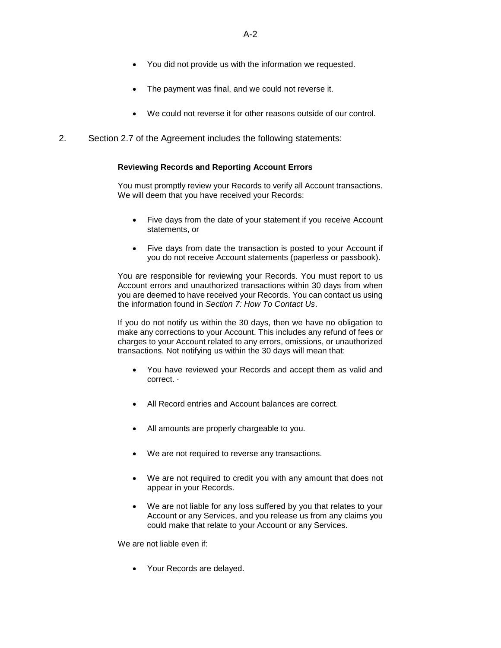- You did not provide us with the information we requested.
- The payment was final, and we could not reverse it.
- We could not reverse it for other reasons outside of our control.
- 2. Section 2.7 of the Agreement includes the following statements:

#### **Reviewing Records and Reporting Account Errors**

You must promptly review your Records to verify all Account transactions. We will deem that you have received your Records:

- Five days from the date of your statement if you receive Account statements, or
- Five days from date the transaction is posted to your Account if you do not receive Account statements (paperless or passbook).

You are responsible for reviewing your Records. You must report to us Account errors and unauthorized transactions within 30 days from when you are deemed to have received your Records. You can contact us using the information found in *Section 7: How To Contact Us*.

If you do not notify us within the 30 days, then we have no obligation to make any corrections to your Account. This includes any refund of fees or charges to your Account related to any errors, omissions, or unauthorized transactions. Not notifying us within the 30 days will mean that:

- You have reviewed your Records and accept them as valid and correct. ·
- All Record entries and Account balances are correct.
- All amounts are properly chargeable to you.
- We are not required to reverse any transactions.
- We are not required to credit you with any amount that does not appear in your Records.
- We are not liable for any loss suffered by you that relates to your Account or any Services, and you release us from any claims you could make that relate to your Account or any Services.

We are not liable even if:

Your Records are delayed.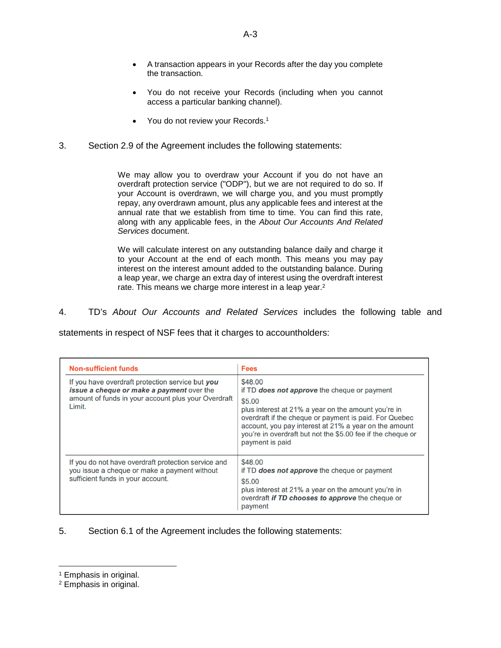- A transaction appears in your Records after the day you complete the transaction.
- You do not receive your Records (including when you cannot access a particular banking channel).
- You do not review your Records.<sup>[1](#page-17-0)</sup>
- 3. Section 2.9 of the Agreement includes the following statements:

We may allow you to overdraw your Account if you do not have an overdraft protection service ("ODP"), but we are not required to do so. If your Account is overdrawn, we will charge you, and you must promptly repay, any overdrawn amount, plus any applicable fees and interest at the annual rate that we establish from time to time. You can find this rate, along with any applicable fees, in the *About Our Accounts And Related Services* document.

We will calculate interest on any outstanding balance daily and charge it to your Account at the end of each month. This means you may pay interest on the interest amount added to the outstanding balance. During a leap year, we charge an extra day of interest using the overdraft interest rate. This means we charge more interest in a leap year.<sup>[2](#page-17-1)</sup>

4. TD's *About Our Accounts and Related Services* includes the following table and

statements in respect of NSF fees that it charges to accountholders:

| <b>Non-sufficient funds</b>                                                                                                                                           | <b>Fees</b>                                                                                                                                                                                                                                                                                                                   |
|-----------------------------------------------------------------------------------------------------------------------------------------------------------------------|-------------------------------------------------------------------------------------------------------------------------------------------------------------------------------------------------------------------------------------------------------------------------------------------------------------------------------|
| If you have overdraft protection service but you<br><i>issue a cheque or make a payment over the</i><br>amount of funds in your account plus your Overdraft<br>Limit. | \$48.00<br>if TD does not approve the cheque or payment<br>\$5.00<br>plus interest at 21% a year on the amount you're in<br>overdraft if the cheque or payment is paid. For Quebec<br>account, you pay interest at 21% a year on the amount<br>you're in overdraft but not the \$5.00 fee if the cheque or<br>payment is paid |
| If you do not have overdraft protection service and<br>you issue a cheque or make a payment without<br>sufficient funds in your account.                              | \$48.00<br>if TD does not approve the cheque or payment<br>\$5,00<br>plus interest at 21% a year on the amount you're in<br>overdraft if TD chooses to approve the cheque or<br>payment                                                                                                                                       |

## 5. Section 6.1 of the Agreement includes the following statements:

<span id="page-17-1"></span><span id="page-17-0"></span><sup>&</sup>lt;sup>1</sup> Emphasis in original.

<sup>2</sup> Emphasis in original.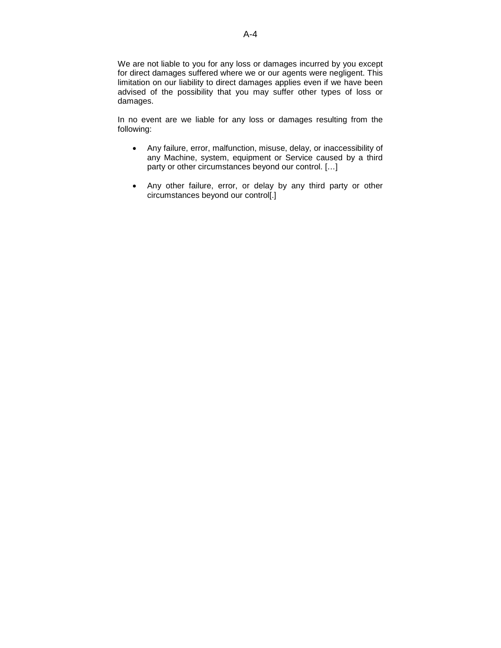We are not liable to you for any loss or damages incurred by you except for direct damages suffered where we or our agents were negligent. This limitation on our liability to direct damages applies even if we have been advised of the possibility that you may suffer other types of loss or damages.

In no event are we liable for any loss or damages resulting from the following:

- Any failure, error, malfunction, misuse, delay, or inaccessibility of any Machine, system, equipment or Service caused by a third party or other circumstances beyond our control. […]
- Any other failure, error, or delay by any third party or other circumstances beyond our control[.]